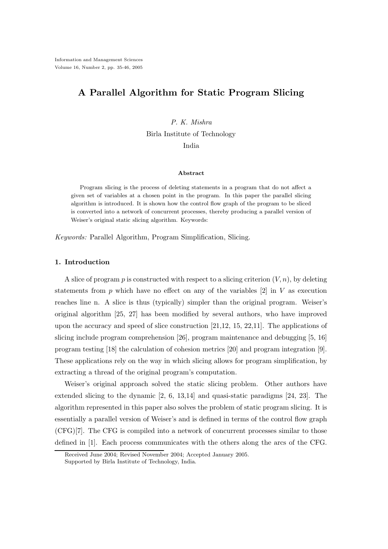# A Parallel Algorithm for Static Program Slicing

## P. K. Mishra

Birla Institute of Technology

India

#### Abstract

Program slicing is the process of deleting statements in a program that do not affect a given set of variables at a chosen point in the program. In this paper the parallel slicing algorithm is introduced. It is shown how the control flow graph of the program to be sliced is converted into a network of concurrent processes, thereby producing a parallel version of Weiser's original static slicing algorithm. Keywords:

Keywords: Parallel Algorithm, Program Simplification, Slicing.

## 1. Introduction

A slice of program p is constructed with respect to a slicing criterion  $(V, n)$ , by deleting statements from  $p$  which have no effect on any of the variables  $[2]$  in V as execution reaches line n. A slice is thus (typically) simpler than the original program. Weiser's original algorithm [25, 27] has been modified by several authors, who have improved upon the accuracy and speed of slice construction [21,12, 15, 22,11]. The applications of slicing include program comprehension [26], program maintenance and debugging [5, 16] program testing [18] the calculation of cohesion metrics [20] and program integration [9]. These applications rely on the way in which slicing allows for program simplification, by extracting a thread of the original program's computation.

Weiser's original approach solved the static slicing problem. Other authors have extended slicing to the dynamic [2, 6, 13,14] and quasi-static paradigms [24, 23]. The algorithm represented in this paper also solves the problem of static program slicing. It is essentially a parallel version of Weiser's and is defined in terms of the control flow graph (CFG)[7]. The CFG is compiled into a network of concurrent processes similar to those defined in [1]. Each process communicates with the others along the arcs of the CFG.

Received June 2004; Revised November 2004; Accepted January 2005.

Supported by Birla Institute of Technology, India.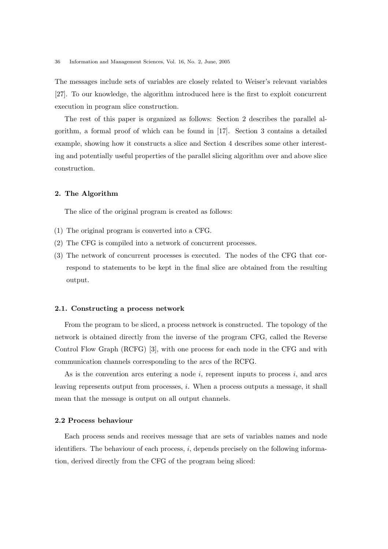The messages include sets of variables are closely related to Weiser's relevant variables [27]. To our knowledge, the algorithm introduced here is the first to exploit concurrent execution in program slice construction.

The rest of this paper is organized as follows: Section 2 describes the parallel algorithm, a formal proof of which can be found in [17]. Section 3 contains a detailed example, showing how it constructs a slice and Section 4 describes some other interesting and potentially useful properties of the parallel slicing algorithm over and above slice construction.

#### 2. The Algorithm

The slice of the original program is created as follows:

- (1) The original program is converted into a CFG.
- (2) The CFG is compiled into a network of concurrent processes.
- (3) The network of concurrent processes is executed. The nodes of the CFG that correspond to statements to be kept in the final slice are obtained from the resulting output.

#### 2.1. Constructing a process network

From the program to be sliced, a process network is constructed. The topology of the network is obtained directly from the inverse of the program CFG, called the Reverse Control Flow Graph (RCFG) [3], with one process for each node in the CFG and with communication channels corresponding to the arcs of the RCFG.

As is the convention arcs entering a node  $i$ , represent inputs to process  $i$ , and arcs leaving represents output from processes, i. When a process outputs a message, it shall mean that the message is output on all output channels.

#### 2.2 Process behaviour

Each process sends and receives message that are sets of variables names and node identifiers. The behaviour of each process,  $i$ , depends precisely on the following information, derived directly from the CFG of the program being sliced: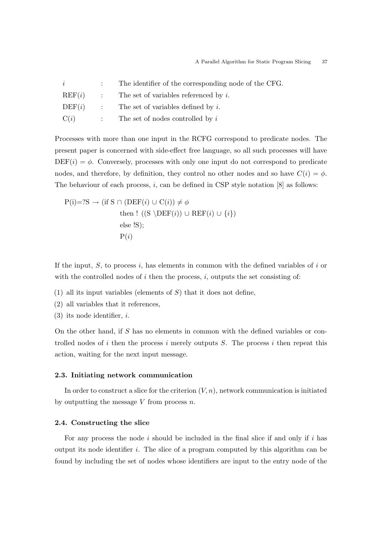| i      | : The identifier of the corresponding node of the CFG. |
|--------|--------------------------------------------------------|
| REF(i) | $\therefore$ The set of variables referenced by i.     |
| DEF(i) | $\therefore$ The set of variables defined by i.        |
| C(i)   | $\therefore$ The set of nodes controlled by i          |

Processes with more than one input in the RCFG correspond to predicate nodes. The present paper is concerned with side-effect free language, so all such processes will have  $DEF(i) = \phi$ . Conversely, processes with only one input do not correspond to predicate nodes, and therefore, by definition, they control no other nodes and so have  $C(i) = \phi$ . The behaviour of each process, i, can be defined in CSP style notation [8] as follows:

$$
P(i)=?S \rightarrow (if S \cap (DEF(i) \cup C(i)) \neq \phi
$$
  
then ! ((S \backslash DEF(i)) \cup REF(i) \cup {i})  
else IS);  

$$
P(i)
$$

If the input,  $S$ , to process i, has elements in common with the defined variables of i or with the controlled nodes of  $i$  then the process,  $i$ , outputs the set consisting of:

- (1) all its input variables (elements of  $S$ ) that it does not define,
- (2) all variables that it references,
- $(3)$  its node identifier, *i*.

On the other hand, if S has no elements in common with the defined variables or controlled nodes of i then the process i merely outputs  $S$ . The process i then repeat this action, waiting for the next input message.

#### 2.3. Initiating network communication

In order to construct a slice for the criterion  $(V, n)$ , network communication is initiated by outputting the message  $V$  from process  $n$ .

#### 2.4. Constructing the slice

For any process the node  $i$  should be included in the final slice if and only if  $i$  has output its node identifier i. The slice of a program computed by this algorithm can be found by including the set of nodes whose identifiers are input to the entry node of the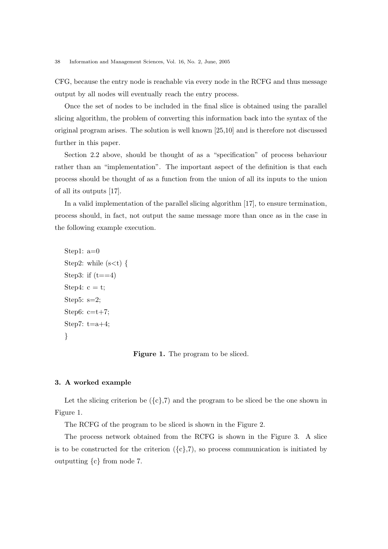CFG, because the entry node is reachable via every node in the RCFG and thus message output by all nodes will eventually reach the entry process.

Once the set of nodes to be included in the final slice is obtained using the parallel slicing algorithm, the problem of converting this information back into the syntax of the original program arises. The solution is well known [25,10] and is therefore not discussed further in this paper.

Section 2.2 above, should be thought of as a "specification" of process behaviour rather than an "implementation". The important aspect of the definition is that each process should be thought of as a function from the union of all its inputs to the union of all its outputs [17].

In a valid implementation of the parallel slicing algorithm [17], to ensure termination, process should, in fact, not output the same message more than once as in the case in the following example execution.

```
Step1: a=0
Step2: while (s< t) {
Step3: if (t == 4)Step4: c = t;
Step5: s=2;
Step6: c=t+7;
Step7: t=a+4;
}
```
Figure 1. The program to be sliced.

## 3. A worked example

Let the slicing criterion be  $({c}, 7)$  and the program to be sliced be the one shown in Figure 1.

The RCFG of the program to be sliced is shown in the Figure 2.

The process network obtained from the RCFG is shown in the Figure 3. A slice is to be constructed for the criterion  $({c},7)$ , so process communication is initiated by outputting {c} from node 7.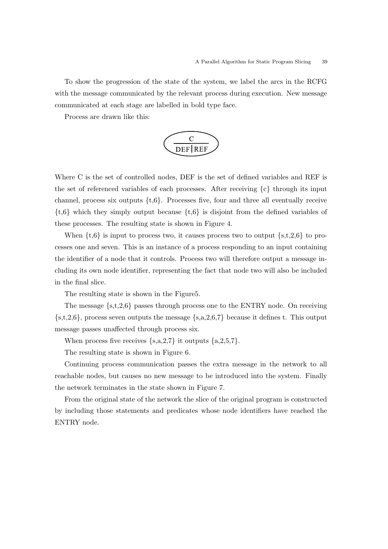To show the progression of the state of the system, we label the arcs in the RCFG with the message communicated by the relevant process during execution. New message communicated at each stage are labelled in bold type face.

Process are drawn like this:



Where C is the set of controlled nodes, DEF is the set of defined variables and REF is the set of referenced variables of each processes. After receiving {c} through its input channel, process six outputs  $\{t,6\}$ . Processes five, four and three all eventually receive  $\{t,6\}$  which they simply output because  $\{t,6\}$  is disjoint from the defined variables of these processes. The resulting state is shown in Figure 4.

When  $\{t,6\}$  is input to process two, it causes process two to output  $\{s,t,2,6\}$  to processes one and seven. This is an instance of a process responding to an input containing the identifier of a node that it controls. Process two will therefore output a message including its own node identifier, representing the fact that node two will also be included in the final slice.

The resulting state is shown in the Figure5.

The message  $\{s,t,2,6\}$  passes through process one to the ENTRY node. On receiving  $\{s,t,2,6\}$ , process seven outputs the message  $\{s,a,2,6,7\}$  because it defines t. This output message passes unaffected through process six.

When process five receives  $\{s,a,2,7\}$  it outputs  $\{a,2,5,7\}$ .

The resulting state is shown in Figure 6.

Continuing process communication passes the extra message in the network to all reachable nodes, but causes no new message to be introduced into the system. Finally the network terminates in the state shown in Figure 7.

From the original state of the network the slice of the original program is constructed by including those statements and predicates whose node identifiers have reached the ENTRY node.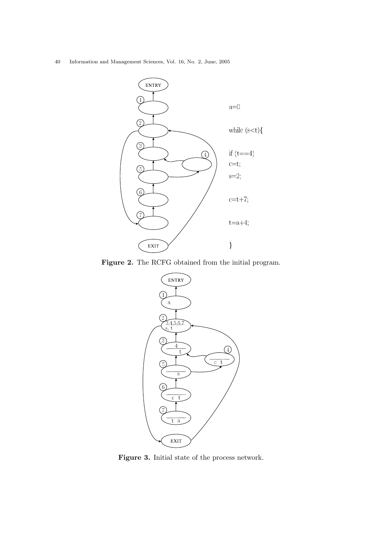40 Information and Management Sciences, Vol. 16, No. 2, June, 2005



Figure 2. The RCFG obtained from the initial program.



Figure 3. Initial state of the process network.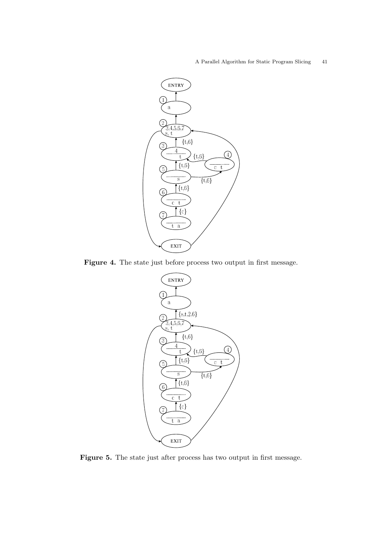### A Parallel Algorithm for Static Program Slicing 41



Figure 4. The state just before process two output in first message.



Figure 5. The state just after process has two output in first message.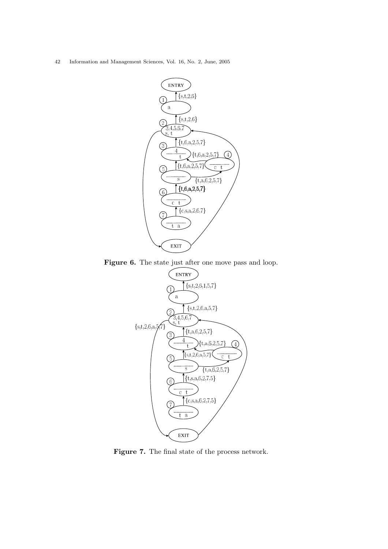42 Information and Management Sciences, Vol. 16, No. 2, June, 2005



Figure 6. The state just after one move pass and loop.



Figure 7. The final state of the process network.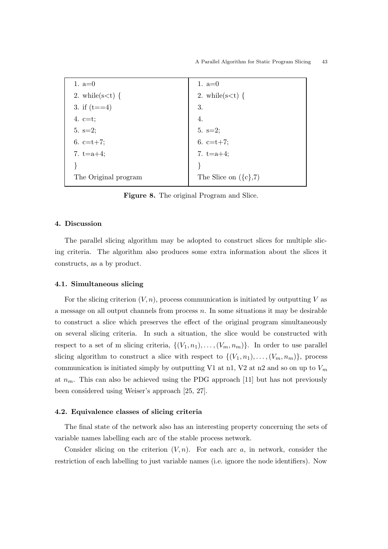

Figure 8. The original Program and Slice.

#### 4. Discussion

The parallel slicing algorithm may be adopted to construct slices for multiple slicing criteria. The algorithm also produces some extra information about the slices it constructs, as a by product.

### 4.1. Simultaneous slicing

For the slicing criterion  $(V, n)$ , process communication is initiated by outputting V as a message on all output channels from process  $n$ . In some situations it may be desirable to construct a slice which preserves the effect of the original program simultaneously on several slicing criteria. In such a situation, the slice would be constructed with respect to a set of m slicing criteria,  $\{(V_1, n_1), \ldots, (V_m, n_m)\}\$ . In order to use parallel slicing algorithm to construct a slice with respect to  $\{(V_1, n_1), \ldots, (V_m, n_m)\}\)$ , process communication is initiated simply by outputting V1 at n1, V2 at n2 and so on up to  $V_m$ at  $n_m$ . This can also be achieved using the PDG approach [11] but has not previously been considered using Weiser's approach [25, 27].

### 4.2. Equivalence classes of slicing criteria

The final state of the network also has an interesting property concerning the sets of variable names labelling each arc of the stable process network.

Consider slicing on the criterion  $(V, n)$ . For each arc a, in network, consider the restriction of each labelling to just variable names (i.e. ignore the node identifiers). Now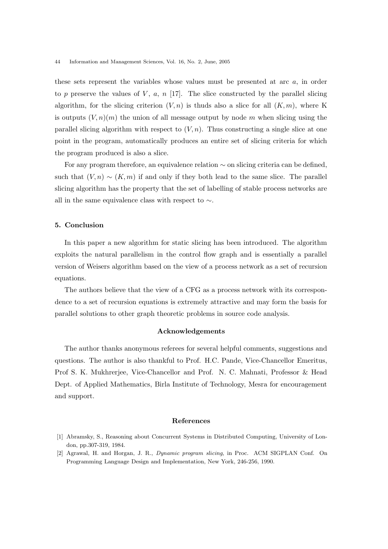these sets represent the variables whose values must be presented at arc a, in order to p preserve the values of V, a, n [17]. The slice constructed by the parallel slicing algorithm, for the slicing criterion  $(V, n)$  is thuds also a slice for all  $(K, m)$ , where K is outputs  $(V, n)(m)$  the union of all message output by node m when slicing using the parallel slicing algorithm with respect to  $(V, n)$ . Thus constructing a single slice at one point in the program, automatically produces an entire set of slicing criteria for which the program produced is also a slice.

For any program therefore, an equivalence relation ∼ on slicing criteria can be defined, such that  $(V, n) \sim (K, m)$  if and only if they both lead to the same slice. The parallel slicing algorithm has the property that the set of labelling of stable process networks are all in the same equivalence class with respect to  $\sim$ .

## 5. Conclusion

In this paper a new algorithm for static slicing has been introduced. The algorithm exploits the natural parallelism in the control flow graph and is essentially a parallel version of Weisers algorithm based on the view of a process network as a set of recursion equations.

The authors believe that the view of a CFG as a process network with its correspondence to a set of recursion equations is extremely attractive and may form the basis for parallel solutions to other graph theoretic problems in source code analysis.

### Acknowledgements

The author thanks anonymous referees for several helpful comments, suggestions and questions. The author is also thankful to Prof. H.C. Pande, Vice-Chancellor Emeritus, Prof S. K. Mukhrerjee, Vice-Chancellor and Prof. N. C. Mahnati, Professor & Head Dept. of Applied Mathematics, Birla Institute of Technology, Mesra for encouragement and support.

#### References

- [1] Abramsky, S., Reasoning about Concurrent Systems in Distributed Computing, University of London, pp.307-319, 1984.
- [2] Agrawal, H. and Horgan, J. R., Dynamic program slicing, in Proc. ACM SIGPLAN Conf. On Programming Language Design and Implementation, New York, 246-256, 1990.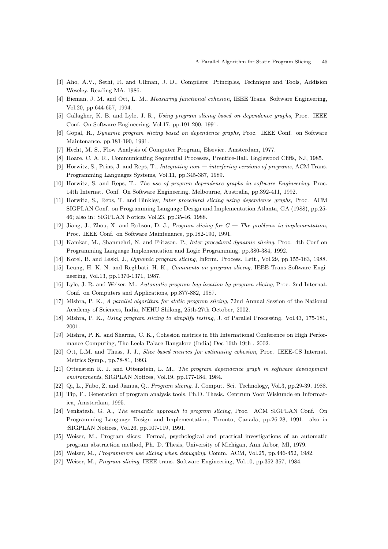- [3] Aho, A.V., Sethi, R. and Ullman, J. D., Compilers: Principles, Technique and Tools, Addision Weseley, Reading MA, 1986.
- [4] Bieman, J. M. and Ott, L. M., Measuring functional cohesion, IEEE Trans. Software Engineering, Vol.20, pp.644-657, 1994.
- [5] Gallagher, K. B. and Lyle, J. R., Using program slicing based on dependence graphs, Proc. IEEE Conf. On Software Engineering, Vol.17, pp.191-200, 1991.
- [6] Gopal, R., Dynamic program slicing based on dependence graphs, Proc. IEEE Conf. on Software Maintenance, pp.181-190, 1991.
- [7] Hecht, M. S., Flow Analysis of Computer Program, Elsevier, Amsterdam, 1977.
- [8] Hoare, C. A. R., Communicating Sequential Processes, Prentice-Hall, Englewood Cliffs, NJ, 1985.
- [9] Horwitz, S., Prins, J. and Reps, T., Integrating non interfering versions of programs, ACM Trans. Programming Languages Systems, Vol.11, pp.345-387, 1989.
- [10] Horwitz, S. and Reps, T., The use of program dependence graphs in software Engineering, Proc. 14th Internat. Conf. On Software Engineering, Melbourne, Australia, pp.392-411, 1992.
- [11] Horwitz, S., Reps, T. and Binkley, Inter procedural slicing using dependence graphs, Proc. ACM SIGPLAN Conf. on Programming Language Design and Implementation Atlanta, GA (1988), pp.25- 46; also in: SIGPLAN Notices Vol.23, pp.35-46, 1988.
- [12] Jiang, J., Zhou, X. and Robson, D. J., Program slicing for C The problems in implementation, Proc. IEEE Conf. on Software Maintenance, pp.182-190, 1991.
- [13] Kamkar, M., Shanmehri, N. and Fritzson, P., Inter procedural dynamic slicing, Proc. 4th Conf on Programming Language Implementation and Logic Programming, pp.380-384, 1992.
- [14] Korel, B. and Laski, J., Dynamic program slicing, Inform. Process. Lett., Vol.29, pp.155-163, 1988.
- [15] Leung, H. K. N. and Reghbati, H. K., Comments on program slicing, IEEE Trans Software Engineering, Vol.13, pp.1370-1371, 1987.
- [16] Lyle, J. R. and Weiser, M., Automatic program bug location by program slicing, Proc. 2nd Internat. Conf. on Computers and Applications, pp.877-882, 1987.
- [17] Mishra, P. K., A parallel algorithm for static program slicing, 72nd Annual Session of the National Academy of Sciences, India, NEHU Shilong, 25th-27th October, 2002.
- [18] Mishra, P. K., Using program slicing to simplify testing, J. of Parallel Processing, Vol.43, 175-181, 2001.
- [19] Mishra, P. K. and Sharma, C. K., Cohesion metrics in 6th International Conference on High Performance Computing, The Leela Palace Bangalore (India) Dec 16th-19th , 2002.
- [20] Ott, L.M. and Thuss, J. J., Slice based metrics for estimating cohesion, Proc. IEEE-CS Internat. Metrics Symp., pp.78-81, 1993.
- [21] Ottenstein K. J. and Ottenstein, L. M., The program dependence graph in software development environments, SIGPLAN Notices, Vol.19, pp.177-184, 1984.
- [22] Qi, L., Fubo, Z. and Jianua, Q., Program slicing, J. Comput. Sci. Technology, Vol.3, pp.29-39, 1988.
- [23] Tip, F., Generation of program analysis tools, Ph.D. Thesis. Centrum Voor Wiskunde en Informatica, Amsterdam, 1995.
- [24] Venkatesh, G. A., The semantic approach to program slicing, Proc. ACM SIGPLAN Conf. On Programming Language Design and Implementation, Toronto, Canada, pp.26-28, 1991. also in :SIGPLAN Notices, Vol.26, pp.107-119, 1991.
- [25] Weiser, M., Program slices: Formal, psychological and practical investigations of an automatic program abstraction method, Ph. D. Thesis, University of Michigan, Ann Arbor, MI, 1979.
- [26] Weiser, M., Programmers use slicing when debugging, Comm. ACM, Vol.25, pp.446-452, 1982.
- [27] Weiser, M., Program slicing, IEEE trans. Software Engineering, Vol.10, pp.352-357, 1984.